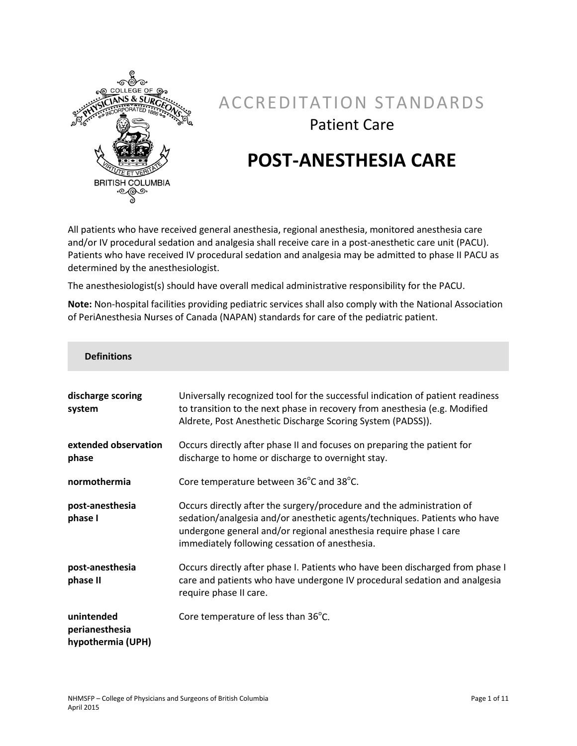

## ACCREDITATION STANDARDS Patient Care

# **POST-ANESTHESIA CARE**

All patients who have received general anesthesia, regional anesthesia, monitored anesthesia care and/or IV procedural sedation and analgesia shall receive care in a post-anesthetic care unit (PACU). Patients who have received IV procedural sedation and analgesia may be admitted to phase II PACU as determined by the anesthesiologist.

The anesthesiologist(s) should have overall medical administrative responsibility for the PACU.

**Note:** Non-hospital facilities providing pediatric services shall also comply with the National Association of PeriAnesthesia Nurses of Canada (NAPAN) standards for care of the pediatric patient.

| <b>Definitions</b>                                |                                                                                                                                                                                                                                                                           |
|---------------------------------------------------|---------------------------------------------------------------------------------------------------------------------------------------------------------------------------------------------------------------------------------------------------------------------------|
| discharge scoring<br>system                       | Universally recognized tool for the successful indication of patient readiness<br>to transition to the next phase in recovery from anesthesia (e.g. Modified<br>Aldrete, Post Anesthetic Discharge Scoring System (PADSS)).                                               |
| extended observation<br>phase                     | Occurs directly after phase II and focuses on preparing the patient for<br>discharge to home or discharge to overnight stay.                                                                                                                                              |
| normothermia                                      | Core temperature between 36°C and 38°C.                                                                                                                                                                                                                                   |
| post-anesthesia<br>phase I                        | Occurs directly after the surgery/procedure and the administration of<br>sedation/analgesia and/or anesthetic agents/techniques. Patients who have<br>undergone general and/or regional anesthesia require phase I care<br>immediately following cessation of anesthesia. |
| post-anesthesia<br>phase II                       | Occurs directly after phase I. Patients who have been discharged from phase I<br>care and patients who have undergone IV procedural sedation and analgesia<br>require phase II care.                                                                                      |
| unintended<br>perianesthesia<br>hypothermia (UPH) | Core temperature of less than 36°C.                                                                                                                                                                                                                                       |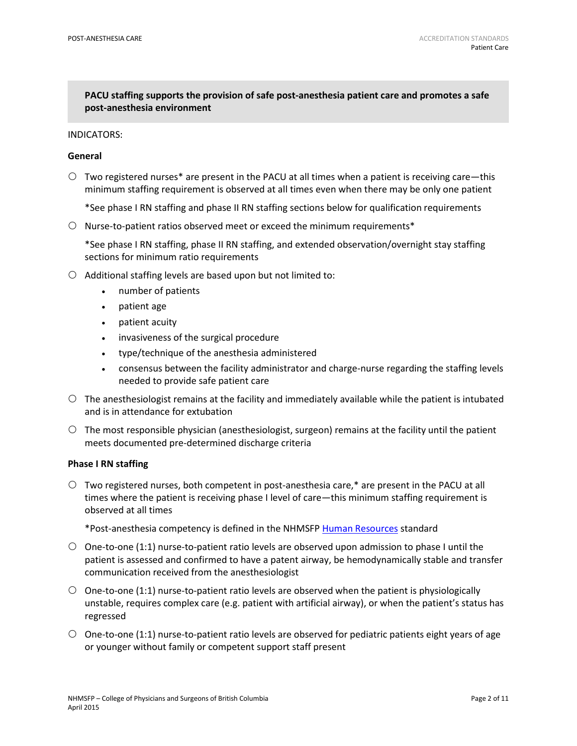## **PACU staffing supports the provision of safe post-anesthesia patient care and promotes a safe post-anesthesia environment**

#### INDICATORS:

#### **General**

- $\circ$  Two registered nurses\* are present in the PACU at all times when a patient is receiving care—this minimum staffing requirement is observed at all times even when there may be only one patient
	- \*See phase I RN staffing and phase II RN staffing sections below for qualification requirements
- $\circ$  Nurse-to-patient ratios observed meet or exceed the minimum requirements\*

\*See phase I RN staffing, phase II RN staffing, and extended observation/overnight stay staffing sections for minimum ratio requirements

- $\circ$  Additional staffing levels are based upon but not limited to:
	- number of patients
	- patient age
	- patient acuity
	- invasiveness of the surgical procedure
	- type/technique of the anesthesia administered
	- consensus between the facility administrator and charge-nurse regarding the staffing levels needed to provide safe patient care
- $\circ$  The anesthesiologist remains at the facility and immediately available while the patient is intubated and is in attendance for extubation
- $\circ$  The most responsible physician (anesthesiologist, surgeon) remains at the facility until the patient meets documented pre-determined discharge criteria

#### **Phase I RN staffing**

 $\circ$  Two registered nurses, both competent in post-anesthesia care, $*$  are present in the PACU at all times where the patient is receiving phase I level of care—this minimum staffing requirement is observed at all times

\*Post-anesthesia competency is defined in the NHMSFP [Human Resources](https://www.cpsbc.ca/files/pdf/NHMSFP-AS-Human-Resources.pdf) standard

- $\circ$  One-to-one (1:1) nurse-to-patient ratio levels are observed upon admission to phase I until the patient is assessed and confirmed to have a patent airway, be hemodynamically stable and transfer communication received from the anesthesiologist
- $\circ$  One-to-one (1:1) nurse-to-patient ratio levels are observed when the patient is physiologically unstable, requires complex care (e.g. patient with artificial airway), or when the patient's status has regressed
- $\circ$  One-to-one (1:1) nurse-to-patient ratio levels are observed for pediatric patients eight years of age or younger without family or competent support staff present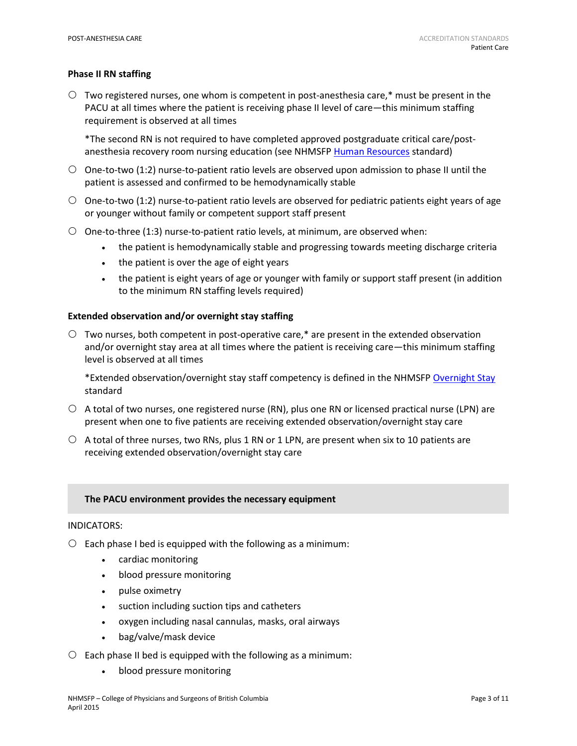#### **Phase II RN staffing**

 $\circ$  Two registered nurses, one whom is competent in post-anesthesia care,\* must be present in the PACU at all times where the patient is receiving phase II level of care—this minimum staffing requirement is observed at all times

\*The second RN is not required to have completed approved postgraduate critical care/post-anesthesia recovery room nursing education (see NHMSFP [Human Resources](https://www.cpsbc.ca/files/pdf/NHMSFP-AS-Human-Resources.pdf) standard)

- $\circ$  One-to-two (1:2) nurse-to-patient ratio levels are observed upon admission to phase II until the patient is assessed and confirmed to be hemodynamically stable
- $\circ$  One-to-two (1:2) nurse-to-patient ratio levels are observed for pediatric patients eight years of age or younger without family or competent support staff present
- $\circ$  One-to-three (1:3) nurse-to-patient ratio levels, at minimum, are observed when:
	- the patient is hemodynamically stable and progressing towards meeting discharge criteria
	- the patient is over the age of eight years
	- the patient is eight years of age or younger with family or support staff present (in addition to the minimum RN staffing levels required)

#### **Extended observation and/or overnight stay staffing**

 Two nurses, both competent in post-operative care,\* are present in the extended observation and/or overnight stay area at all times where the patient is receiving care—this minimum staffing level is observed at all times

\*Extended observation/overnight stay staff competency is defined in the NHMSF[P Overnight Stay](https://www.cpsbc.ca/files/pdf/NHMSFP-Overnight-Stay.pdf) standard

- $\circ$  A total of two nurses, one registered nurse (RN), plus one RN or licensed practical nurse (LPN) are present when one to five patients are receiving extended observation/overnight stay care
- $\circ$  A total of three nurses, two RNs, plus 1 RN or 1 LPN, are present when six to 10 patients are receiving extended observation/overnight stay care

#### **The PACU environment provides the necessary equipment**

#### INDICATORS:

- $\circ$  Each phase I bed is equipped with the following as a minimum:
	- cardiac monitoring
	- blood pressure monitoring
	- pulse oximetry
	- suction including suction tips and catheters
	- oxygen including nasal cannulas, masks, oral airways
	- bag/valve/mask device
- $\circ$  Each phase II bed is equipped with the following as a minimum:
	- blood pressure monitoring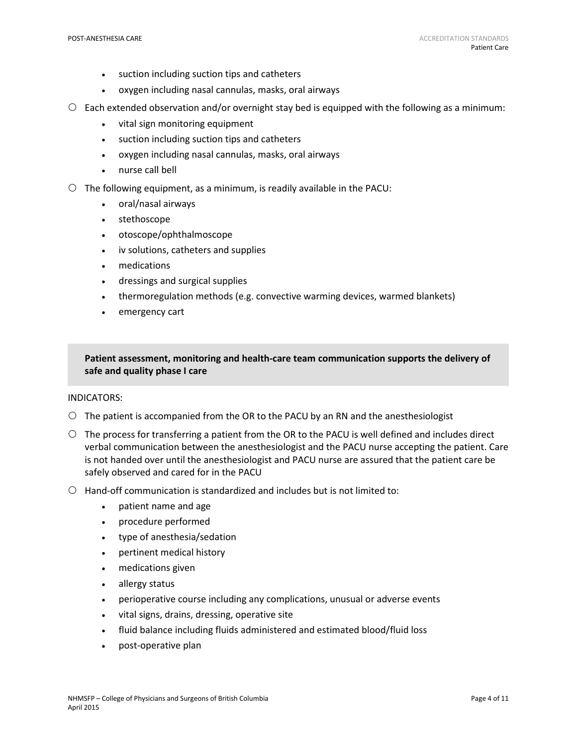- suction including suction tips and catheters
- oxygen including nasal cannulas, masks, oral airways
- Each extended observation and/or overnight stay bed is equipped with the following as a minimum:
	- vital sign monitoring equipment
	- suction including suction tips and catheters
	- oxygen including nasal cannulas, masks, oral airways
	- nurse call bell
- $\circ$  The following equipment, as a minimum, is readily available in the PACU:
	- oral/nasal airways
	- stethoscope
	- otoscope/ophthalmoscope
	- iv solutions, catheters and supplies
	- medications
	- dressings and surgical supplies
	- thermoregulation methods (e.g. convective warming devices, warmed blankets)
	- emergency cart

**Patient assessment, monitoring and health-care team communication supports the delivery of safe and quality phase I care**

#### INDICATORS:

- $\circ$  The patient is accompanied from the OR to the PACU by an RN and the anesthesiologist
- $\circ$  The process for transferring a patient from the OR to the PACU is well defined and includes direct verbal communication between the anesthesiologist and the PACU nurse accepting the patient. Care is not handed over until the anesthesiologist and PACU nurse are assured that the patient care be safely observed and cared for in the PACU
- $\bigcirc$  Hand-off communication is standardized and includes but is not limited to:
	- patient name and age
	- procedure performed
	- type of anesthesia/sedation
	- pertinent medical history
	- medications given
	- allergy status
	- perioperative course including any complications, unusual or adverse events
	- vital signs, drains, dressing, operative site
	- fluid balance including fluids administered and estimated blood/fluid loss
	- post-operative plan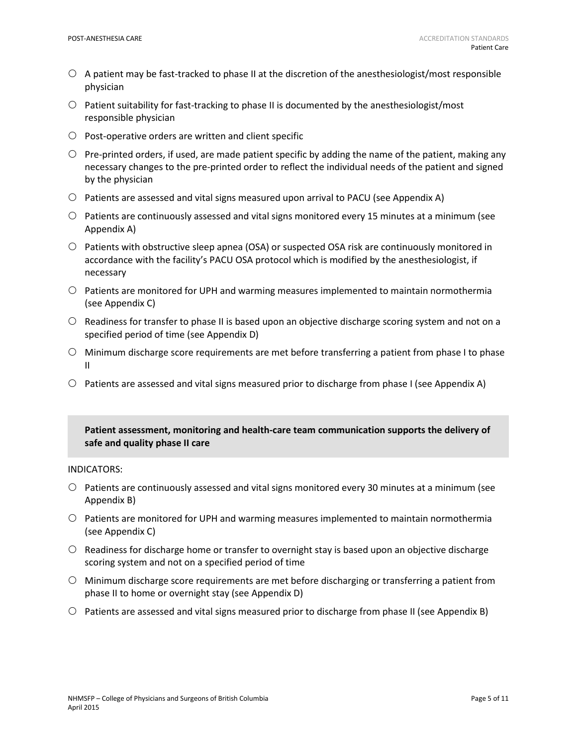- $\circ$  A patient may be fast-tracked to phase II at the discretion of the anesthesiologist/most responsible physician
- $\circ$  Patient suitability for fast-tracking to phase II is documented by the anesthesiologist/most responsible physician
- $\circ$  Post-operative orders are written and client specific
- $\circ$  Pre-printed orders, if used, are made patient specific by adding the name of the patient, making any necessary changes to the pre-printed order to reflect the individual needs of the patient and signed by the physician
- $\circ$  Patients are assessed and vital signs measured upon arrival to PACU (see Appendix A)
- $\circ$  Patients are continuously assessed and vital signs monitored every 15 minutes at a minimum (see Appendix A)
- $\circ$  Patients with obstructive sleep apnea (OSA) or suspected OSA risk are continuously monitored in accordance with the facility's PACU OSA protocol which is modified by the anesthesiologist, if necessary
- $\circ$  Patients are monitored for UPH and warming measures implemented to maintain normothermia (see Appendix C)
- $\circ$  Readiness for transfer to phase II is based upon an objective discharge scoring system and not on a specified period of time (see Appendix D)
- $\circ$  Minimum discharge score requirements are met before transferring a patient from phase I to phase II
- $\circ$  Patients are assessed and vital signs measured prior to discharge from phase I (see Appendix A)

## **Patient assessment, monitoring and health-care team communication supports the delivery of safe and quality phase II care**

#### INDICATORS:

- $\circ$  Patients are continuously assessed and vital signs monitored every 30 minutes at a minimum (see Appendix B)
- $\circ$  Patients are monitored for UPH and warming measures implemented to maintain normothermia (see Appendix C)
- $\circ$  Readiness for discharge home or transfer to overnight stay is based upon an objective discharge scoring system and not on a specified period of time
- $\circ$  Minimum discharge score requirements are met before discharging or transferring a patient from phase II to home or overnight stay (see Appendix D)
- $\circ$  Patients are assessed and vital signs measured prior to discharge from phase II (see Appendix B)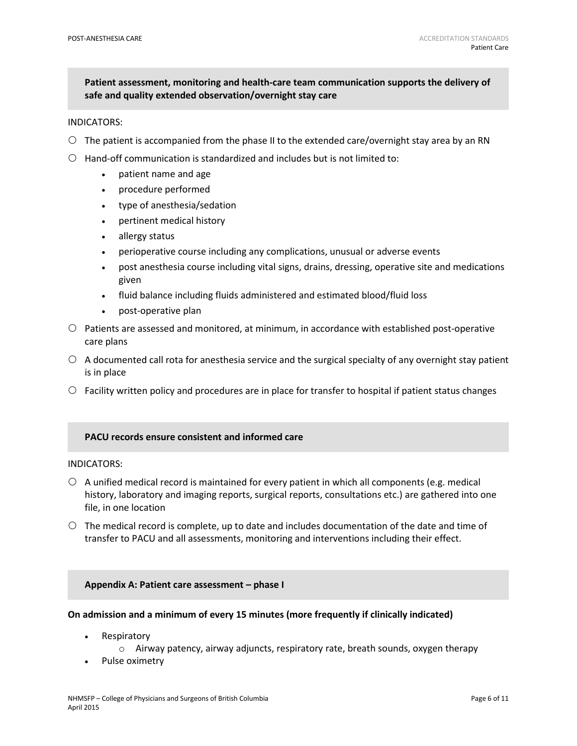**Patient assessment, monitoring and health-care team communication supports the delivery of safe and quality extended observation/overnight stay care**

#### INDICATORS:

- $\circ$  The patient is accompanied from the phase II to the extended care/overnight stay area by an RN
- $\bigcirc$  Hand-off communication is standardized and includes but is not limited to:
	- patient name and age
	- procedure performed
	- type of anesthesia/sedation
	- pertinent medical history
	- allergy status
	- perioperative course including any complications, unusual or adverse events
	- post anesthesia course including vital signs, drains, dressing, operative site and medications given
	- fluid balance including fluids administered and estimated blood/fluid loss
	- post-operative plan
- $\circ$  Patients are assessed and monitored, at minimum, in accordance with established post-operative care plans
- $\circ$  A documented call rota for anesthesia service and the surgical specialty of any overnight stay patient is in place
- $\circ$  Facility written policy and procedures are in place for transfer to hospital if patient status changes

#### **PACU records ensure consistent and informed care**

#### INDICATORS:

- $\circ$  A unified medical record is maintained for every patient in which all components (e.g. medical history, laboratory and imaging reports, surgical reports, consultations etc.) are gathered into one file, in one location
- $\circ$  The medical record is complete, up to date and includes documentation of the date and time of transfer to PACU and all assessments, monitoring and interventions including their effect.

#### **Appendix A: Patient care assessment – phase I**

#### **On admission and a minimum of every 15 minutes (more frequently if clinically indicated)**

- **Respiratory** 
	- $\circ$  Airway patency, airway adjuncts, respiratory rate, breath sounds, oxygen therapy
- Pulse oximetry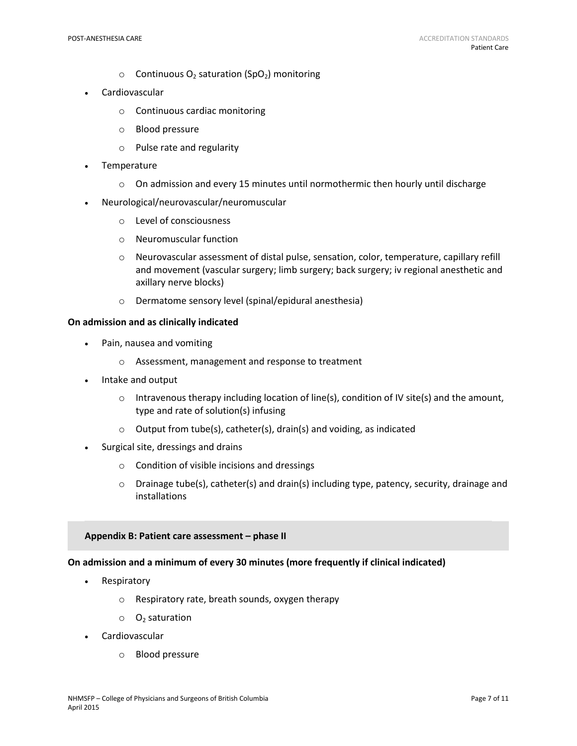- $\circ$  Continuous O<sub>2</sub> saturation (SpO<sub>2</sub>) monitoring
- **Cardiovascular** 
	- o Continuous cardiac monitoring
	- o Blood pressure
	- o Pulse rate and regularity
- **Temperature** 
	- $\circ$  On admission and every 15 minutes until normothermic then hourly until discharge
- Neurological/neurovascular/neuromuscular
	- o Level of consciousness
	- o Neuromuscular function
	- o Neurovascular assessment of distal pulse, sensation, color, temperature, capillary refill and movement (vascular surgery; limb surgery; back surgery; iv regional anesthetic and axillary nerve blocks)
	- o Dermatome sensory level (spinal/epidural anesthesia)

#### **On admission and as clinically indicated**

- Pain, nausea and vomiting
	- o Assessment, management and response to treatment
- Intake and output
	- $\circ$  Intravenous therapy including location of line(s), condition of IV site(s) and the amount, type and rate of solution(s) infusing
	- o Output from tube(s), catheter(s), drain(s) and voiding, as indicated
- Surgical site, dressings and drains
	- o Condition of visible incisions and dressings
	- $\circ$  Drainage tube(s), catheter(s) and drain(s) including type, patency, security, drainage and installations

#### **Appendix B: Patient care assessment – phase II**

## **On admission and a minimum of every 30 minutes (more frequently if clinical indicated)**

- **Respiratory** 
	- o Respiratory rate, breath sounds, oxygen therapy
	- $\circ$  O<sub>2</sub> saturation
- **Cardiovascular** 
	- o Blood pressure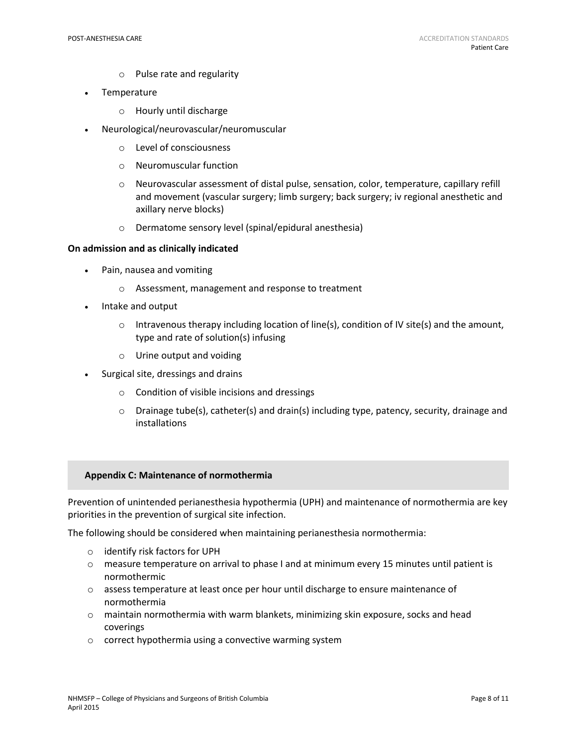- o Pulse rate and regularity
- Temperature
	- o Hourly until discharge
- Neurological/neurovascular/neuromuscular
	- o Level of consciousness
	- o Neuromuscular function
	- o Neurovascular assessment of distal pulse, sensation, color, temperature, capillary refill and movement (vascular surgery; limb surgery; back surgery; iv regional anesthetic and axillary nerve blocks)
	- o Dermatome sensory level (spinal/epidural anesthesia)

#### **On admission and as clinically indicated**

- Pain, nausea and vomiting
	- o Assessment, management and response to treatment
- Intake and output
	- $\circ$  Intravenous therapy including location of line(s), condition of IV site(s) and the amount, type and rate of solution(s) infusing
	- o Urine output and voiding
- Surgical site, dressings and drains
	- o Condition of visible incisions and dressings
	- $\circ$  Drainage tube(s), catheter(s) and drain(s) including type, patency, security, drainage and installations

#### **Appendix C: Maintenance of normothermia**

Prevention of unintended perianesthesia hypothermia (UPH) and maintenance of normothermia are key priorities in the prevention of surgical site infection.

The following should be considered when maintaining perianesthesia normothermia:

- o identify risk factors for UPH
- o measure temperature on arrival to phase I and at minimum every 15 minutes until patient is normothermic
- o assess temperature at least once per hour until discharge to ensure maintenance of normothermia
- o maintain normothermia with warm blankets, minimizing skin exposure, socks and head coverings
- o correct hypothermia using a convective warming system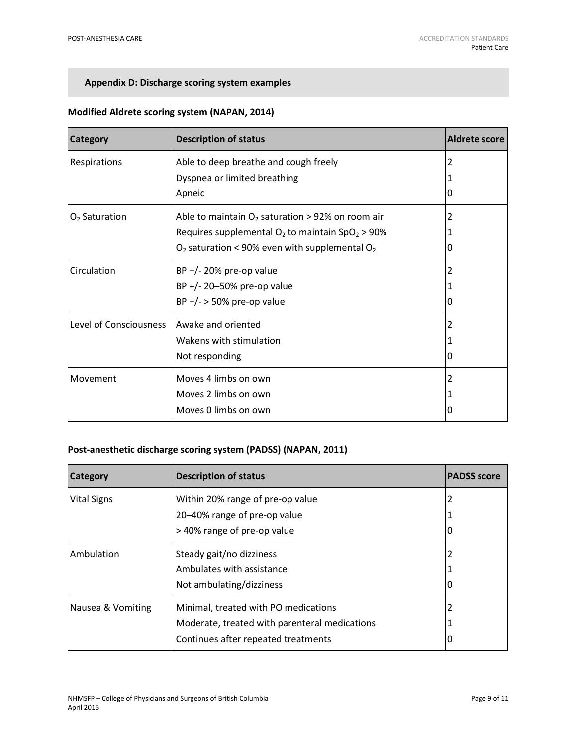## **Appendix D: Discharge scoring system examples**

| Category                      | <b>Description of status</b>                                   | Aldrete score |
|-------------------------------|----------------------------------------------------------------|---------------|
| Respirations                  | Able to deep breathe and cough freely                          | 2             |
|                               | Dyspnea or limited breathing                                   |               |
|                               | Apneic                                                         | O             |
| $O2$ Saturation               | Able to maintain $O_2$ saturation > 92% on room air            | 2             |
|                               | Requires supplemental $O_2$ to maintain SpO <sub>2</sub> > 90% |               |
|                               | $O_2$ saturation < 90% even with supplemental $O_2$            | O             |
| Circulation                   | $BP$ +/- 20% pre-op value                                      | 2             |
|                               | BP +/- 20-50% pre-op value                                     |               |
|                               | $BP$ +/- > 50% pre-op value                                    | O             |
| <b>Level of Consciousness</b> | Awake and oriented                                             | 2             |
|                               | Wakens with stimulation                                        |               |
|                               | Not responding                                                 | $\Omega$      |
| Movement                      | Moves 4 limbs on own                                           | 2             |
|                               | Moves 2 limbs on own                                           |               |
|                               | Moves 0 limbs on own                                           |               |

## **Modified Aldrete scoring system (NAPAN, 2014)**

## **Post-anesthetic discharge scoring system (PADSS) (NAPAN, 2011)**

| <b>Category</b>    | <b>Description of status</b>                  | <b>PADSS score</b> |
|--------------------|-----------------------------------------------|--------------------|
| <b>Vital Signs</b> | Within 20% range of pre-op value              | 2                  |
|                    | 20-40% range of pre-op value                  |                    |
|                    | > 40% range of pre-op value                   | 0                  |
| Ambulation         | Steady gait/no dizziness                      | 2                  |
|                    | Ambulates with assistance                     |                    |
|                    | Not ambulating/dizziness                      | 0                  |
| Nausea & Vomiting  | Minimal, treated with PO medications          | 2                  |
|                    | Moderate, treated with parenteral medications |                    |
|                    | Continues after repeated treatments           | Ü                  |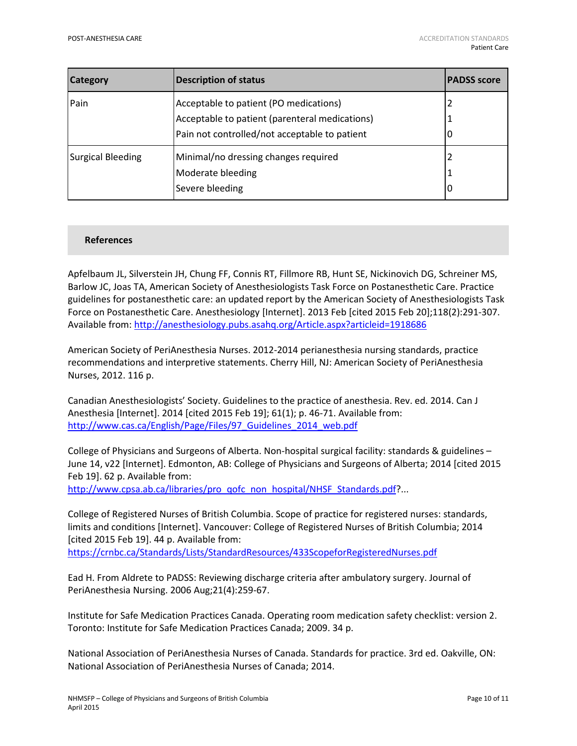| <b>Category</b>   | <b>Description of status</b>                   | <b>PADSS score</b> |
|-------------------|------------------------------------------------|--------------------|
| Pain              | Acceptable to patient (PO medications)         |                    |
|                   | Acceptable to patient (parenteral medications) |                    |
|                   | Pain not controlled/not acceptable to patient  | U                  |
| Surgical Bleeding | Minimal/no dressing changes required           |                    |
|                   | Moderate bleeding                              |                    |
|                   | Severe bleeding                                | 0                  |

#### **References**

Apfelbaum JL, Silverstein JH, Chung FF, Connis RT, Fillmore RB, Hunt SE, Nickinovich DG, Schreiner MS, Barlow JC, Joas TA, American Society of Anesthesiologists Task Force on Postanesthetic Care. Practice guidelines for postanesthetic care: an updated report by the American Society of Anesthesiologists Task Force on Postanesthetic Care. Anesthesiology [Internet]. 2013 Feb [cited 2015 Feb 20];118(2):291-307. Available from:<http://anesthesiology.pubs.asahq.org/Article.aspx?articleid=1918686>

American Society of PeriAnesthesia Nurses. 2012-2014 perianesthesia nursing standards, practice recommendations and interpretive statements. Cherry Hill, NJ: American Society of PeriAnesthesia Nurses, 2012. 116 p.

Canadian Anesthesiologists' Society. Guidelines to the practice of anesthesia. Rev. ed. 2014. Can J Anesthesia [Internet]. 2014 [cited 2015 Feb 19]; 61(1); p. 46-71. Available from: [http://www.cas.ca/English/Page/Files/97\\_Guidelines\\_2014\\_web.pdf](http://www.cas.ca/English/Page/Files/97_Guidelines_2014_web.pdf)

College of Physicians and Surgeons of Alberta. Non-hospital surgical facility: standards & guidelines – June 14, v22 [Internet]. Edmonton, AB: College of Physicians and Surgeons of Alberta; 2014 [cited 2015 Feb 19]. 62 p. Available from:

[http://www.cpsa.ab.ca/libraries/pro\\_qofc\\_non\\_hospital/NHSF\\_Standards.pdf?](http://www.cpsa.ab.ca/libraries/pro_qofc_non_hospital/NHSF_Standards.pdf)...

College of Registered Nurses of British Columbia. Scope of practice for registered nurses: standards, limits and conditions [Internet]. Vancouver: College of Registered Nurses of British Columbia; 2014 [cited 2015 Feb 19]. 44 p. Available from:

<https://crnbc.ca/Standards/Lists/StandardResources/433ScopeforRegisteredNurses.pdf>

Ead H. From Aldrete to PADSS: Reviewing discharge criteria after ambulatory surgery. Journal of PeriAnesthesia Nursing. 2006 Aug;21(4):259-67.

Institute for Safe Medication Practices Canada. Operating room medication safety checklist: version 2. Toronto: Institute for Safe Medication Practices Canada; 2009. 34 p.

National Association of PeriAnesthesia Nurses of Canada. Standards for practice. 3rd ed. Oakville, ON: National Association of PeriAnesthesia Nurses of Canada; 2014.